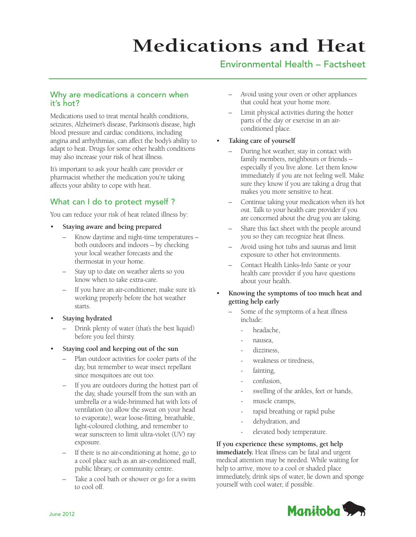# **Medications and Heat**

## Environmental Health – Factsheet

#### Why are medications a concern when it's hot?

Medications used to treat mental health conditions, seizures, Alzheimer's disease, Parkinson's disease, high blood pressure and cardiac conditions, including angina and arrhythmias, can affect the body's ability to adapt to heat. Drugs for some other health conditions may also increase your risk of heat illness.

It's important to ask your health care provider or pharmacist whether the medication you're taking affects your ability to cope with heat.

## What can I do to protect myself?

You can reduce your risk of heat related illness by:

- **Staying aware and being prepared**
	- Know daytime and night-time temperatures both outdoors and indoors – by checking your local weather forecasts and the thermostat in your home.
	- Stay up to date on weather alerts so you know when to take extra-care.
	- If you have an air-conditioner, make sure it's working properly before the hot weather starts.
- **Staying hydrated**
	- Drink plenty of water (that's the best liquid) before you feel thirsty.
- **Staying cool and keeping out of the sun**
	- Plan outdoor activities for cooler parts of the day, but remember to wear insect repellant since mosquitoes are out too.
	- If you are outdoors during the hottest part of the day, shade yourself from the sun with an umbrella or a wide-brimmed hat with lots of ventilation (to allow the sweat on your head to evaporate), wear loose-fitting, breathable, light-coloured clothing, and remember to wear sunscreen to limit ultra-violet (UV) ray exposure.
	- If there is no air-conditioning at home, go to a cool place such as an air-conditioned mall, public library, or community centre.
	- Take a cool bath or shower or go for a swim to cool off.
- Avoid using your oven or other appliances that could heat your home more.
- Limit physical activities during the hotter parts of the day or exercise in an airconditioned place.

#### • **Taking care of yourself**

- During hot weather, stay in contact with family members, neighbours or friends – especially if you live alone. Let them know immediately if you are not feeling well. Make sure they know if you are taking a drug that makes you more sensitive to heat.
- Continue taking your medication when it's hot out. Talk to your health care provider if you are concerned about the drug you are taking.
- Share this fact sheet with the people around you so they can recognize heat illness.
- Avoid using hot tubs and saunas and limit exposure to other hot environments.
- Contact Health Links-Info Sante or your health care provider if you have questions about your health.
- **Knowing the symptoms of too much heat and getting help early**
	- Some of the symptoms of a heat illness include:
		- headache.
		- nausea,
		- dizziness,
		- weakness or tiredness.
		- fainting,
		- confusion,
		- swelling of the ankles, feet or hands,
		- muscle cramps,
		- rapid breathing or rapid pulse
		- dehydration, and
		- elevated body temperature.

**If you experience these symptoms, get help immediately.** Heat illness can be fatal and urgent medical attention may be needed. While waiting for help to arrive, move to a cool or shaded place immediately, drink sips of water, lie down and sponge yourself with cool water, if possible.